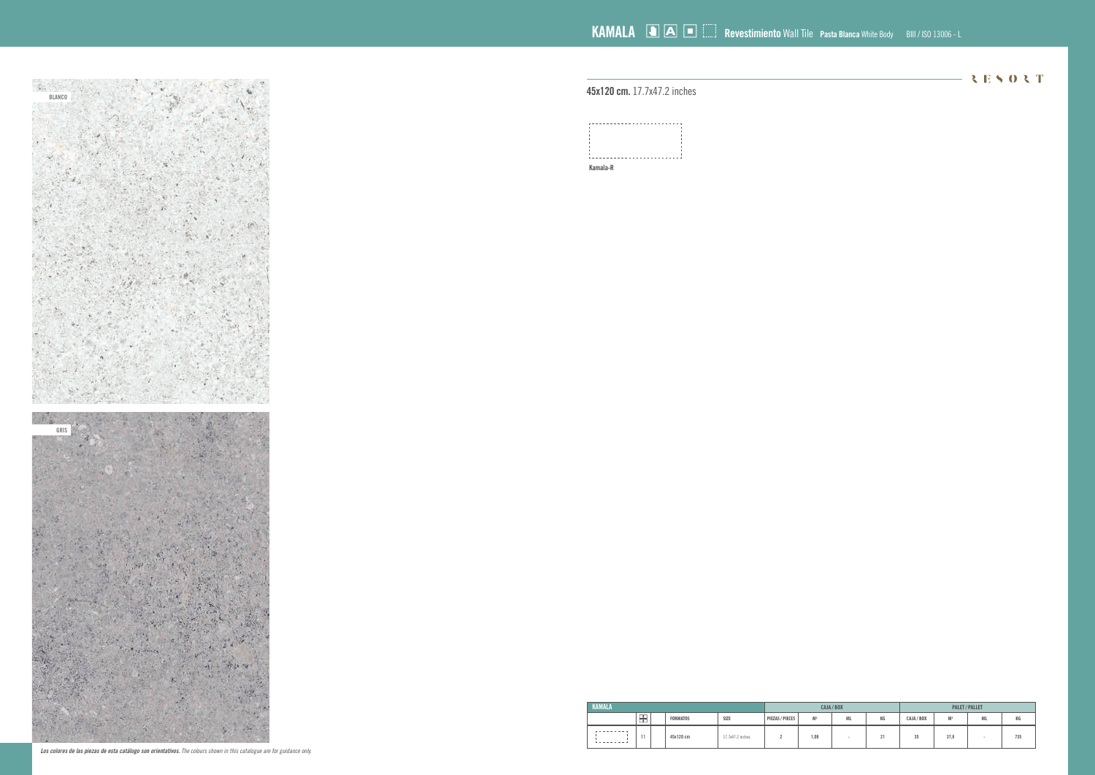**45x120 cm.** 17.7x47.2 inches

| s <b>ta Blanca</b> White Body | BIII / ISO 13006 - L |
|-------------------------------|----------------------|
|                               |                      |

|  |  | RESORT |  |  |
|--|--|--------|--|--|
|  |  |        |  |  |
|  |  |        |  |  |

| A/BOX     |    |            | <b>PALET / PALLET</b> |           |     |
|-----------|----|------------|-----------------------|-----------|-----|
| <b>ML</b> | КG | CAJA / BOX | M <sup>2</sup>        | <b>ML</b> | КG  |
|           | 21 | <b>OE</b>  | <b>270</b>            |           | 725 |

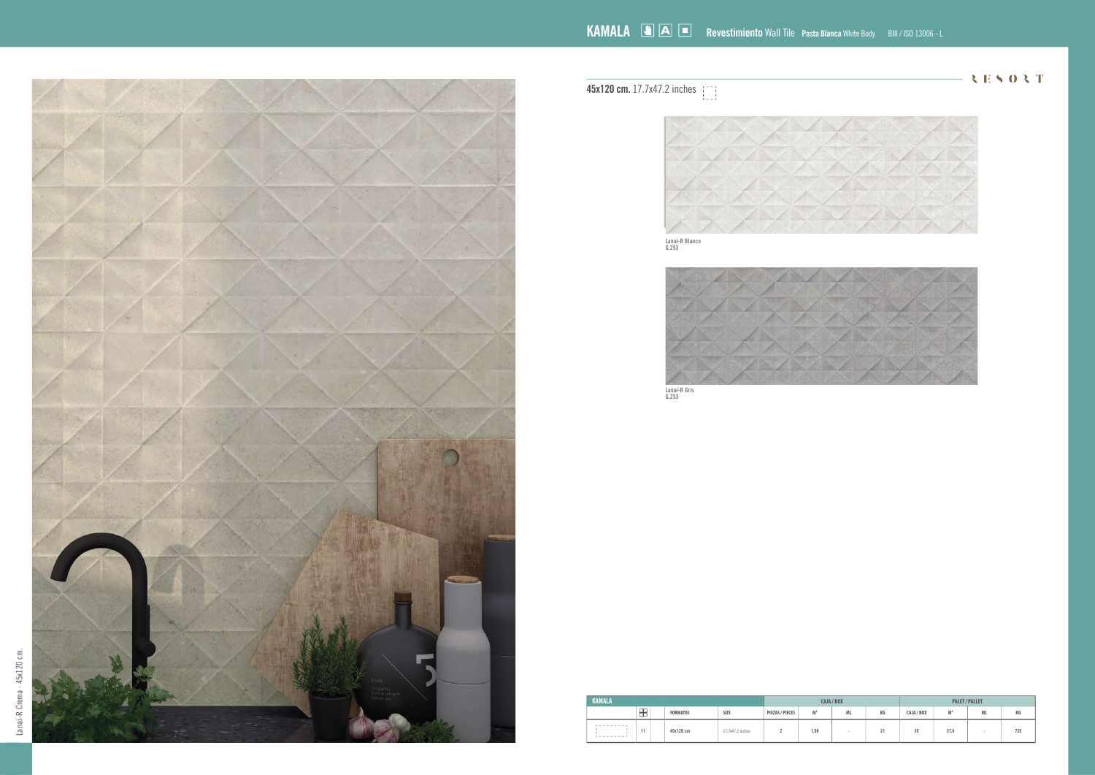| <b>KAMALA</b>                  |        |  |                 |                  |                 |                | CAJA / BOX |    | <b>PALET / PALLET</b> |                |           |     |  |
|--------------------------------|--------|--|-----------------|------------------|-----------------|----------------|------------|----|-----------------------|----------------|-----------|-----|--|
|                                | ┳<br>− |  | <b>FORMATOS</b> | SIZE             | PIEZAS / PIECES | M <sup>2</sup> | <b>ML</b>  | КG | CAJA / BOX            | M <sup>2</sup> | <b>ML</b> | КG  |  |
| .<br><b>Louisian - Louisia</b> | 11     |  | 45x120 cm       | 17.7x47.2 inches |                 | 1,08           |            | 21 | 35                    | 37.8           |           | 735 |  |



**45x120 cm.** 17.7x47.2 inches



 $-3E503T$ 

**Lanai-R Blanco G.253**



**Lanai-R Gris G.253**